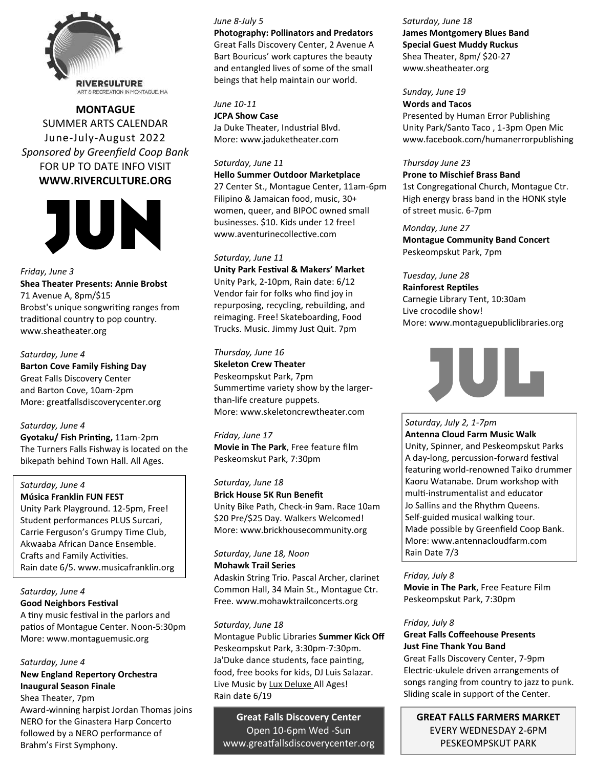

**MONTAGUE**  SUMMER ARTS CALENDAR June-July-August 2022 *Sponsored by Greenfield Coop Bank* FOR UP TO DATE INFO VISIT **WWW.RIVERCULTURE.ORG**



*Friday, June 3* **Shea Theater Presents: Annie Brobst** 71 Avenue A, 8pm/\$15 Brobst's unique songwriting ranges from traditional country to pop country. www.sheatheater.org

*Saturday, June 4* **Barton Cove Family Fishing Day**  Great Falls Discovery Center and Barton Cove, 10am-2pm More: greatfallsdiscoverycenter.org

### *Saturday, June 4*

**Gyotaku/ Fish Printing,** 11am-2pm The Turners Falls Fishway is located on the bikepath behind Town Hall. All Ages.

## *Saturday, June 4*

**Música Franklin FUN FEST** Unity Park Playground. 12-5pm, Free! Student performances PLUS Surcari, Carrie Ferguson's Grumpy Time Club, Akwaaba African Dance Ensemble. Crafts and Family Activities. Rain date 6/5. www.musicafranklin.org

*Saturday, June 4* **Good Neighbors Festival**

A tiny music festival in the parlors and patios of Montague Center. Noon-5:30pm More: www.montaguemusic.org

### *Saturday, June 4*

**New England Repertory Orchestra Inaugural Season Finale**  Shea Theater, 7pm

Award-winning harpist Jordan Thomas joins NERO for the Ginastera Harp Concerto followed by a NERO performance of Brahm's First Symphony.

#### *June 8-July 5*

**Photography: Pollinators and Predators** Great Falls Discovery Center, 2 Avenue A Bart Bouricus' work captures the beauty and entangled lives of some of the small beings that help maintain our world*.*

*June 10-11*

**JCPA Show Case** Ja Duke Theater, Industrial Blvd. More: www.jaduketheater.com

#### *Saturday, June 11*

**Hello Summer Outdoor Marketplace**

27 Center St., Montague Center, 11am-6pm Filipino & Jamaican food, music, 30+ women, queer, and BIPOC owned small businesses. \$10. Kids under 12 free! www.aventurinecollective.com

### *Saturday, June 11*

**Unity Park Festival & Makers' Market**  Unity Park, 2-10pm, Rain date: 6/12 Vendor fair for folks who find joy in repurposing, recycling, rebuilding, and reimaging. Free! Skateboarding, Food Trucks. Music. Jimmy Just Quit. 7pm

# *Thursday, June 16*

**Skeleton Crew Theater** Peskeompskut Park, 7pm Summertime variety show by the largerthan-life creature puppets. More: www.skeletoncrewtheater.com

*Friday, June 17* **Movie in The Park**, Free feature film Peskeomskut Park, 7:30pm

*Saturday, June 18* **Brick House 5K Run Benefit** Unity Bike Path, Check-in 9am. Race 10am \$20 Pre/\$25 Day. Walkers Welcomed!

More: www.brickhousecommunity.org

*Saturday, June 18, Noon*

**Mohawk Trail Series** Adaskin String Trio. Pascal Archer, clarinet Common Hall, 34 Main St., Montague Ctr. Free. www.mohawktrailconcerts.org

### *Saturday, June 18*

Montague Public Libraries **Summer Kick Off** Peskeompskut Park, 3:30pm-7:30pm. Ja'Duke dance students, face painting, food, free books for kids, DJ Luis Salazar. Live Music by Lux Deluxe All Ages! Rain date 6/19

**Great Falls Discovery Center** Open 10-6pm Wed -Sun www.greatfallsdiscoverycenter.org *Saturday, June 18* **James Montgomery Blues Band Special Guest Muddy Ruckus** Shea Theater, 8pm/ \$20-27 www.sheatheater.org

*Sunday, June 19*

**Words and Tacos** Presented by Human Error Publishing Unity Park/Santo Taco , 1-3pm Open Mic www.facebook.com/humanerrorpublishing

### *Thursday June 23*

**Prone to Mischief Brass Band**

1st Congregational Church, Montague Ctr. High energy brass band in the HONK style of street music. 6-7pm

*Monday, June 27* **Montague Community Band Concert**

Peskeompskut Park, 7pm

*Tuesday, June 28* **Rainforest Reptiles** Carnegie Library Tent, 10:30am Live crocodile show! More: www.montaguepubliclibraries.org



*Saturday, July 2, 1-7pm* **Antenna Cloud Farm Music Walk** Unity, Spinner, and Peskeompskut Parks A day-long, percussion-forward festival featuring world-renowned Taiko drummer Kaoru Watanabe. Drum workshop with multi-instrumentalist and educator Jo Sallins and the Rhythm Queens. Self-guided musical walking tour. Made possible by Greenfield Coop Bank. More: www.antennacloudfarm.com Rain Date 7/3

### *Friday, July 8*

**Movie in The Park**, Free Feature Film Peskeompskut Park, 7:30pm

### *Friday, July 8*

## **Great Falls Coffeehouse Presents Just Fine Thank You Band**

Great Falls Discovery Center, 7-9pm Electric-ukulele driven arrangements of songs ranging from country to jazz to punk. Sliding scale in support of the Center.

**GREAT FALLS FARMERS MARKET** EVERY WEDNESDAY 2-6PM PESKEOMPSKUT PARK